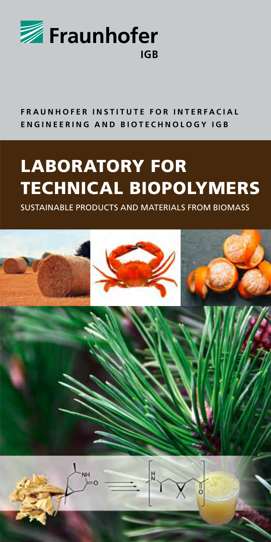

#### **FRAUNHOFER INSTITUTE FOR INTERFACIAL ENGINEERING AND BIOTECHNOLOGY IGB**

# LABORATORY FOR TECHNICAL BIOPOLYMERS

SUSTAINABLE PRODUCTS AND MATERIALS FROM BIOMASS

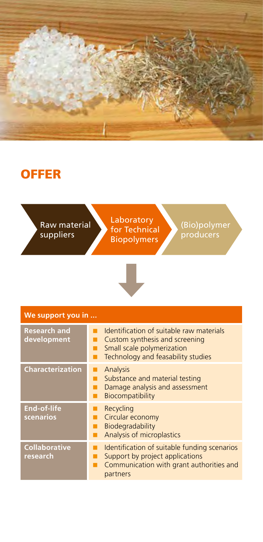

### **OFFER**

Raw material suppliers

Laboratory for Technical Biopolymers

(Bio)polymer producers



| We support you in                  |                                                                                                                                                |
|------------------------------------|------------------------------------------------------------------------------------------------------------------------------------------------|
| <b>Research and</b><br>development | Identification of suitable raw materials<br>Custom synthesis and screening<br>Small scale polymerization<br>Technology and feasability studies |
| <b>Characterization</b>            | Analysis<br>Substance and material testing<br>Damage analysis and assessment<br>Biocompatibility                                               |
| <b>End-of-life</b><br>scenarios    | Recycling<br>Circular economy<br>Biodegradability<br>Analysis of microplastics                                                                 |
| <b>Collaborative</b><br>research   | Identification of suitable funding scenarios<br>Support by project applications<br>Communication with grant authorities and<br>partners        |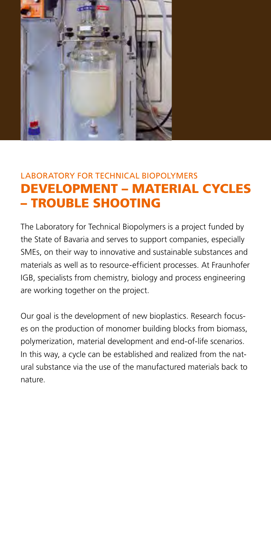

#### LABORATORY FOR TECHNICAL BIOPOLYMERS DEVELOPMENT – MATERIAL CYCLES – TROUBLE SHOOTING

The Laboratory for Technical Biopolymers is a project funded by the State of Bavaria and serves to support companies, especially SMEs, on their way to innovative and sustainable substances and materials as well as to resource-efficient processes. At Fraunhofer IGB, specialists from chemistry, biology and process engineering are working together on the project.

Our goal is the development of new bioplastics. Research focuses on the production of monomer building blocks from biomass, polymerization, material development and end-of-life scenarios. In this way, a cycle can be established and realized from the natural substance via the use of the manufactured materials back to nature.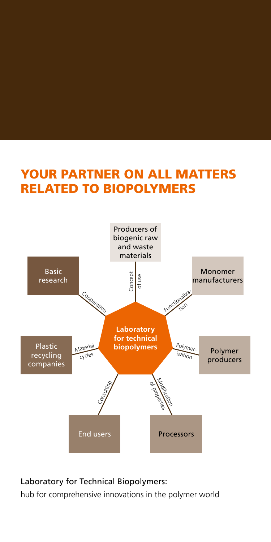## YOUR PARTNER ON ALL MATTERS RELATED TO BIOPOLYMERS



#### Laboratory for Technical Biopolymers:

hub for comprehensive innovations in the polymer world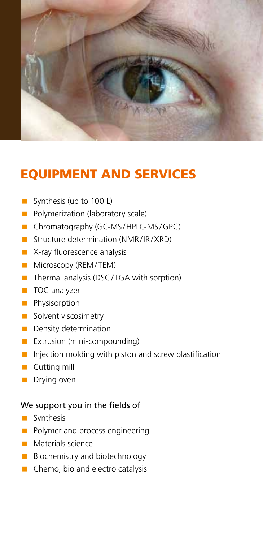

### EQUIPMENT AND SERVICES

- Synthesis (up to 100 L)
- **Polymerization (laboratory scale)**
- Chromatography (GC-MS/HPLC-MS/GPC)
- **Structure determination (NMR/IR/XRD)**
- **X-ray fluorescence analysis**
- **Microscopy (REM/TEM)**
- Thermal analysis (DSC/TGA with sorption)
- **TOC** analyzer
- **Physisorption**
- Solvent viscosimetry
- **Density determination**
- **Extrusion (mini-compounding)**
- $\blacksquare$  Injection molding with piston and screw plastification
- **Cutting mill**
- **Drying oven**

#### We support you in the fields of

- **Synthesis**
- **Polymer and process engineering**
- **Materials science**
- **Biochemistry and biotechnology**
- Chemo, bio and electro catalysis